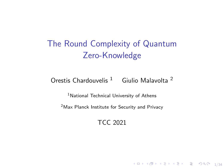# The Round Complexity of Quantum Zero-Knowledge

Orestis Chardouvelis<sup>1</sup> Giulio Malavolta<sup>2</sup>

<sup>1</sup>National Technical University of Athens

<sup>2</sup>Max Planck Institute for Security and Privacy

TCC 2021

 $1/34$ <br> $1/34$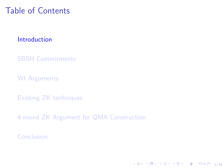# <span id="page-1-0"></span>Table of Contents

#### [Introduction](#page-1-0)

[SBSH Commitments](#page-12-0)

[WI Arguments](#page-20-0)

[Existing ZK techniques](#page-37-0)

[4-round ZK Argument for QMA Construction](#page-54-0)

[Conclusion](#page-72-0)

4 ロ → 4 @ ▶ 4 블 → 4 블 → - 블 → 9 Q O + 2/34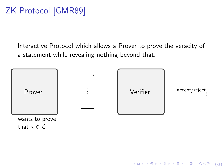# ZK Protocol [GMR89]

Interactive Protocol which allows a Prover to prove the veracity of a statement while revealing nothing beyond that.



4 ロ ▶ 4 레 ▶ 4 로 ▶ 4 로 ▶ 그로 → 9 Q @ - 3/34

that  $x \in \mathcal{L}$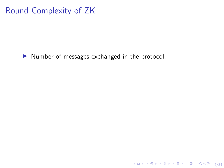# Round Complexity of ZK

 $\blacktriangleright$  Number of messages exchanged in the protocol.

4 ロ → 4 레 → 4 리 → 4 리 → 리 코 → 9 Q ① 4/34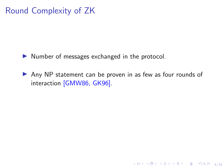# Round Complexity of ZK

- $\blacktriangleright$  Number of messages exchanged in the protocol.
- $\triangleright$  Any NP statement can be proven in as few as four rounds of interaction [GMW86, GK96].

4/34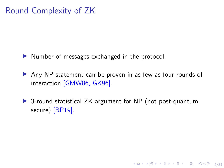# Round Complexity of ZK

- $\triangleright$  Number of messages exchanged in the protocol.
- $\triangleright$  Any NP statement can be proven in as few as four rounds of interaction [GMW86, GK96].
- ▶ 3-round statistical ZK argument for NP (not post-quantum secure) [BP19].

4/□→ 4/日→ 4/2→ 4/34 2 34/34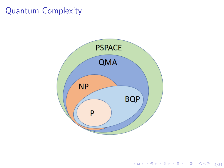## Quantum Complexity



(ロ) (日) (ミ) (ミ) (ミ) 등 990 5/34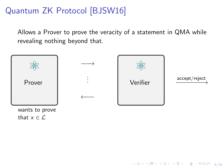# Quantum ZK Protocol [BJSW16]

Allows a Prover to prove the veracity of a statement in QMA while revealing nothing beyond that.



4 ロ ▶ 4 레 ▶ 4 로 ▶ 4 로 ▶ 그로 → 9 Q O + 6/34

that  $x \in \mathcal{L}$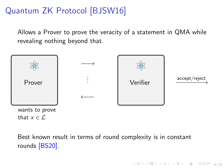# Quantum ZK Protocol [BJSW16]

Allows a Prover to prove the veracity of a statement in QMA while revealing nothing beyond that.



Best known result in terms of round complexity is in constant rounds [BS20].

4 ロ ▶ 4 레 ▶ 4 로 ▶ 4 로 ▶ 그로 → 9 Q O + 6/34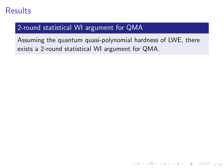## Results

#### 2-round statistical WI argument for QMA

Assuming the quantum quasi-polynomial hardness of LWE, there exists a 2-round statistical WI argument for QMA.

4 ロ → 4 @ ▶ 4 블 → 4 블 → 1 를 → 9 Q Q + 7/34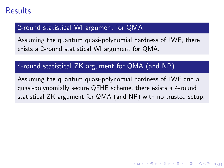## Results

#### 2-round statistical WI argument for QMA

Assuming the quantum quasi-polynomial hardness of LWE, there exists a 2-round statistical WI argument for QMA.

#### 4-round statistical ZK argument for QMA (and NP)

Assuming the quantum quasi-polynomial hardness of LWE and a quasi-polynomially secure QFHE scheme, there exists a 4-round statistical ZK argument for QMA (and NP) with no trusted setup.

4 ロ → 4 @ → 4 할 → 4 할 → 1 할 → 9 Q O + 7/34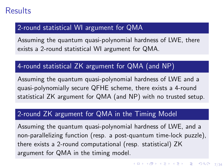## Results

#### 2-round statistical WI argument for QMA

Assuming the quantum quasi-polynomial hardness of LWE, there exists a 2-round statistical WI argument for QMA.

#### 4-round statistical ZK argument for QMA (and NP)

Assuming the quantum quasi-polynomial hardness of LWE and a quasi-polynomially secure QFHE scheme, there exists a 4-round statistical ZK argument for QMA (and NP) with no trusted setup.

#### 2-round ZK argument for QMA in the Timing Model

Assuming the quantum quasi-polynomial hardness of LWE, and a non-parallelizing function (resp. a post-quantum time-lock puzzle), there exists a 2-round computational (resp. statistical) ZK argument for QMA in the timing model.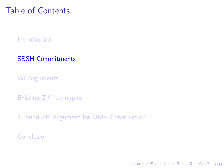# <span id="page-12-0"></span>Table of Contents

[Introduction](#page-1-0)

[SBSH Commitments](#page-12-0)

[WI Arguments](#page-20-0)

[Existing ZK techniques](#page-37-0)

[4-round ZK Argument for QMA Construction](#page-54-0)

[Conclusion](#page-72-0)

4 ロ ▶ 4 레 ▶ 4 로 ▶ 4 로 ▶ 그로 → 9 Q O + 8/34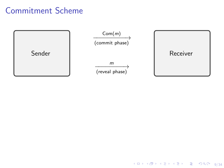## Commitment Scheme



9/34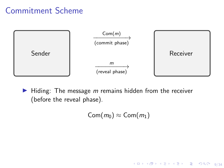## Commitment Scheme



 $\blacktriangleright$  Hiding: The message m remains hidden from the receiver (before the reveal phase).

 $\textsf{Com}(m_0) \approx \textsf{Com}(m_1)$ 

4 ロ ▶ 4 레 ▶ 4 로 ▶ 4 로 ▶ 그로 → 9 Q O + 9/34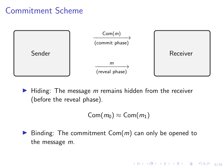## Commitment Scheme



 $\blacktriangleright$  Hiding: The message m remains hidden from the receiver (before the reveal phase).

$$
\mathsf{Com}(m_0)\approx\mathsf{Com}(m_1)
$$

4 ロ ▶ 4 레 ▶ 4 로 ▶ 4 로 ▶ 그로 → 9 Q Q → 9/34

 $\blacktriangleright$  Binding: The commitment Com(m) can only be opened to the message m.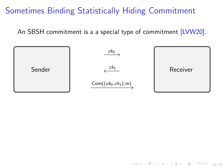An SBSH commitment is a a special type of commitment [LVW20].



10 → 1日 → 1월 → 1월 → 1월 → 990 + 10/34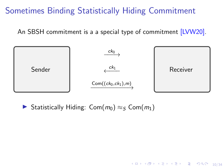An SBSH commitment is a a special type of commitment [LVW20].



10 → 1日 → 1월 → 1월 → 1월 → 990 10/34

► Statistically Hiding: Com $(m_0) \approx_S$  Com $(m_1)$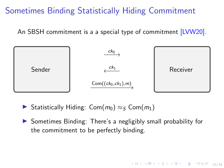An SBSH commitment is a a special type of commitment [LVW20].



- **► Statistically Hiding: Com(** $m_0$ **)**  $\approx$  c Com( $m_1$ )
- $\triangleright$  Sometimes Binding: There's a negligibly small probability for the commitment to be perfectly binding.

10 8 1 1 2 8 4 2 8 4 2 3 4 2 3 4 2 3 4 2 3 4 2 3 4 2 3 4 2 3 4 2 3 4 2 3 4 2 3 4 2 3 4 2 3 4 2 3 4 2 3 4 2 3 4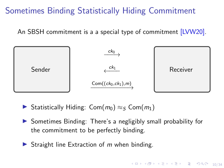An SBSH commitment is a a special type of commitment [LVW20].



- **► Statistically Hiding: Com(** $m_0$ **)**  $\approx$  c Com( $m_1$ )
- $\triangleright$  Sometimes Binding: There's a negligibly small probability for the commitment to be perfectly binding.
- Straight line Extraction of  $m$  when binding.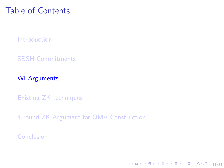# <span id="page-20-0"></span>Table of Contents

[Introduction](#page-1-0)

[SBSH Commitments](#page-12-0)

[WI Arguments](#page-20-0)

[Existing ZK techniques](#page-37-0)

[4-round ZK Argument for QMA Construction](#page-54-0)

[Conclusion](#page-72-0)

1日 N 1日 N 4 E N 4 E N 2 E N 9 Q 0 11/34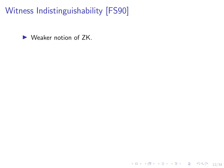Witness Indistinguishability [FS90]

 $\blacktriangleright$  Weaker notion of ZK.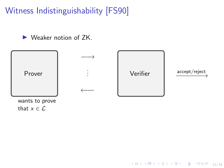Witness Indistinguishability [FS90]

 $\blacktriangleright$  Weaker notion of ZK.



10 → 1日 → 1월 → 1월 → 1월 → 990 + 12/34

wants to prove that  $x \in \mathcal{L}$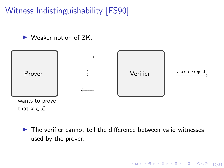Witness Indistinguishability [FS90]

 $\blacktriangleright$  Weaker notion of  $7K$ .



 $\blacktriangleright$  The verifier cannot tell the difference between valid witnesses used by the prover.

10 → 1日 → 1월 → 1월 → 1월 → 990 + 12/34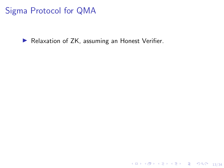Sigma Protocol for QMA

Relaxation of ZK, assuming an Honest Verifier.

1日 ▶ 1日 ▶ 1 로 ▶ 1 로 ▶ 그로 → 9 Q ① 13/34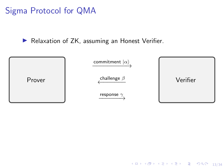Sigma Protocol for QMA

 $\blacktriangleright$  Relaxation of ZK, assuming an Honest Verifier.



1日 ▶ 1日 ▶ 1월 ▶ 1월 ▶ │ 볼│ 1990 13/34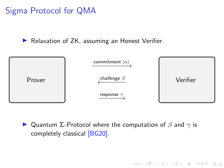Sigma Protocol for QMA

 $\blacktriangleright$  Relaxation of ZK, assuming an Honest Verifier.



 $\blacktriangleright$  Quantum Σ-Protocol where the computation of  $\beta$  and  $\gamma$  is completely classical [BG20].

10 → 1日 → 1월 → 1월 → 1월 → 990 13/34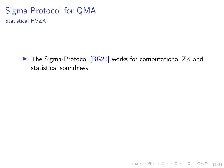▶ The Sigma-Protocol [BG20] works for computational ZK and statistical soundness.

 $\begin{picture}(180,10) \put(0,0){\line(1,0){155}} \put(10,0){\line(1,0){155}} \put(10,0){\line(1,0){155}} \put(10,0){\line(1,0){155}} \put(10,0){\line(1,0){155}} \put(10,0){\line(1,0){155}} \put(10,0){\line(1,0){155}} \put(10,0){\line(1,0){155}} \put(10,0){\line(1,0){155}} \put(10,0){\line(1,0){155}} \put(10,0){\line(1,0){155}}$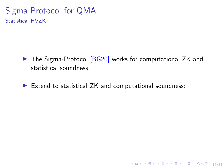▶ The Sigma-Protocol [BG20] works for computational ZK and statistical soundness.

14/34

 $\triangleright$  Extend to statistical ZK and computational soundness: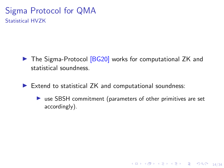- ▶ The Sigma-Protocol [BG20] works for computational ZK and statistical soundness.
- $\blacktriangleright$  Extend to statistical ZK and computational soundness:
	- $\triangleright$  use SBSH commitment (parameters of other primitives are set accordingly).

10 → 1日 → 1월 → 1월 → 1월 → 990 14/34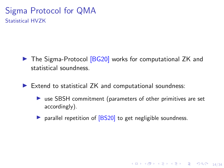- ▶ The Sigma-Protocol [BG20] works for computational ZK and statistical soundness.
- $\blacktriangleright$  Extend to statistical ZK and computational soundness:
	- $\triangleright$  use SBSH commitment (parameters of other primitives are set accordingly).

10 → 1日 → 1월 → 1월 → 1월 → 990 14/34

 $\triangleright$  parallel repetition of  $[BS20]$  to get negligible soundness.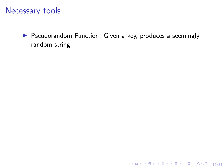### Necessary tools

**I** Pseudorandom Function: Given a key, produces a seemingly random string.

1日 ▶ 1日 ▶ 1월 ▶ 1월 ▶ │ 콜 │ 19 9 9 15/34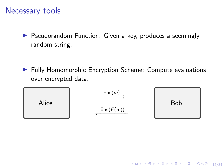### Necessary tools

▶ Pseudorandom Function: Given a key, produces a seemingly random string.

▶ Fully Homomorphic Encryption Scheme: Compute evaluations over encrypted data.



1日 → 1日 → 1월 → 1월 → 1월 → 990 + 15/34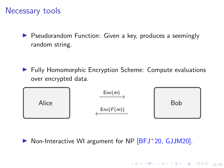### Necessary tools

**I** Pseudorandom Function: Given a key, produces a seemingly random string.

▶ Fully Homomorphic Encryption Scheme: Compute evaluations over encrypted data.



 $\triangleright$  Non-Interactive WI argument for NP  $[BFJ+20, GJM20]$ .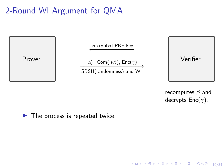# 2-Round WI Argument for QMA



recomputes  $\beta$  and decrypts  $Enc(\gamma)$ .

1日 → 1日 → 1월 → 1월 → 1월 → 990 + 16/34

 $\blacktriangleright$  The process is repeated twice.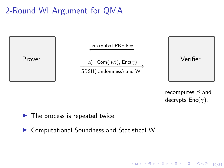# 2-Round WI Argument for QMA



recomputes  $\beta$  and decrypts  $Enc(\gamma)$ .

16/34 - 16/34 - 16/34 - 16/34 - 16/34

 $\blacktriangleright$  The process is repeated twice.

▶ Computational Soundness and Statistical WI.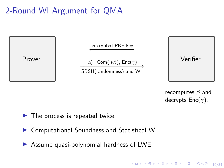## 2-Round WI Argument for QMA



recomputes  $\beta$  and decrypts  $Enc(\gamma)$ .

16/34 - 16/34 - 16/34 - 16/34 - 16/34

 $\blacktriangleright$  The process is repeated twice.

- ▶ Computational Soundness and Statistical WI.
- $\triangleright$  Assume quasi-polynomial hardness of LWE.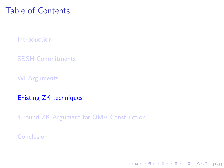## <span id="page-37-0"></span>Table of Contents

[Introduction](#page-1-0)

[SBSH Commitments](#page-12-0)

[WI Arguments](#page-20-0)

[Existing ZK techniques](#page-37-0)

[4-round ZK Argument for QMA Construction](#page-54-0)

[Conclusion](#page-72-0)

17/34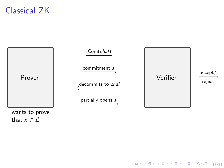### Classical ZK



1日 ▶ 1日 ▶ 1월 ▶ 1월 ▶ │ 콜│ ⊙990 18/34

that  $x \in \mathcal{L}$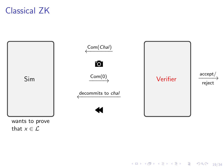## Classical ZK



10 → 1日 → 1월 → 1월 → 1월 → 2000 19/34

wants to prove that  $x \in \mathcal{L}$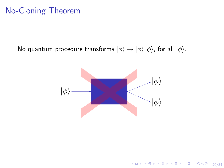### No-Cloning Theorem

No quantum procedure transforms  $|\phi\rangle \rightarrow |\phi\rangle |\phi\rangle$ , for all  $|\phi\rangle$ .



4 ロ ▶ 4 @ ▶ 4 호 ▶ 4 호 ▶ 20 호 → 9 여 0 + 20/34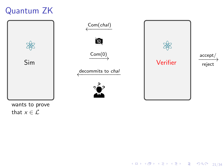## Quantum ZK



21/34

wants to prove that  $x \in \mathcal{L}$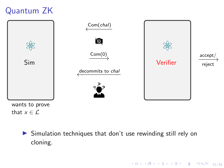# Quantum ZK



that  $x \in \mathcal{L}$ 

 $\triangleright$  Simulation techniques that don't use rewinding still rely on cloning.

4 ロ ▶ 4 @ ▶ 4 호 ▶ 4 호 ▶ 21/34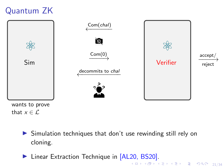# Quantum ZK



- that  $x \in \mathcal{L}$ 
	- $\triangleright$  Simulation techniques that don't use rewinding still rely on cloning.
	- 4 미 ▶ 4 레 ▶ 4 리 ▶ 4 리 ▶ 기로 리 → 9 이익(2~12) 21/34 ▶ Linear Extraction Technique in [AL20, BS20].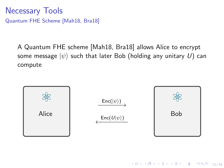Necessary Tools Quantum FHE Scheme [Mah18, Bra18]

> A Quantum FHE scheme [Mah18, Bra18] allows Alice to encrypt some message  $|\psi\rangle$  such that later Bob (holding any unitary U) can compute



4 ロ → 4 @ ▶ 4 ミ → 4 ミ → 2 → 3 → 9 Q Q + 22/34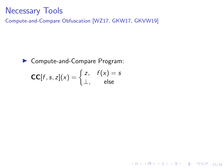#### Necessary Tools

Compute-and-Compare Obfuscation [WZ17, GKW17, GKVW19]

► Compute-and-Compare Program:  
\n
$$
CC[f, s, z](x) = \begin{cases} z, & f(x) = s \\ \perp, & \text{else} \end{cases}
$$

4 미 X 4 레 X 4 호 X 4 호 X 3 - 23/34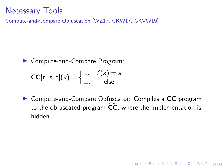#### Necessary Tools

Compute-and-Compare Obfuscation [WZ17, GKW17, GKVW19]

► Compute-and-Compare Program:  
\n
$$
CC[f, s, z](x) = \begin{cases} z, & f(x) = s \\ \perp, & \text{else} \end{cases}
$$

▶ Compute-and-Compare Obfuscator: Compiles a CC program to the obfuscated program  $\overline{CC}$ , where the implementation is hidden.

4 ロ → 4 @ ▶ 4 로 → 4 로 → 2 로 → 9 Q Q + 23/34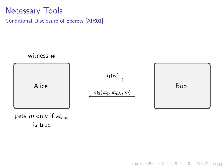#### Necessary Tools Conditional Disclosure of Secrets [AIR01]



4 ロ → 4 @ ▶ 4 ミ → 4 ミ → 2 → 3 → 9 Q O + 24/34

gets  $m$  only if  $st_{cds}$ is true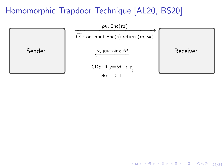

4 ロ ▶ 4 @ ▶ 4 호 ▶ 4 호 ▶ 25/34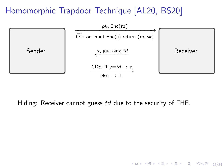

Hiding: Receiver cannot guess td due to the security of FHE.

4 ロ → 4 @ ▶ 4 로 → 4 로 → 25/34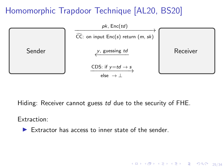

Hiding: Receiver cannot guess td due to the security of FHE.

4 ロ ▶ 4 @ ▶ 4 할 ▶ 4 할 ▶ → 할 → 9 Q Q + 25/34

Extraction:

 $\blacktriangleright$  Extractor has access to inner state of the sender.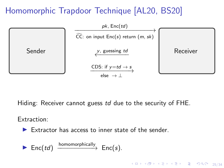

Hiding: Receiver cannot guess td due to the security of FHE.

4 ロ ▶ 4 @ ▶ 4 로 ▶ 4 로 ▶ - 로 - 90 Q + 25/34

Extraction:

 $\blacktriangleright$  Extractor has access to inner state of the sender.

 $\blacktriangleright$  Enc(td)  $\xrightarrow{\text{homomorphically}} \text{Enc}(s).$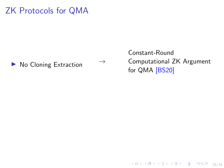#### ZK Protocols for QMA

#### $\triangleright$  No Cloning Extraction  $\rightarrow$

Constant-Round Computational ZK Argument for QMA [BS20]

4 ロ → 4 @ ▶ 4 로 → 4 로 → 2 로 → 9 Q Q + 26/34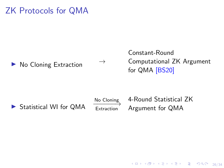#### ZK Protocols for QMA

 $\triangleright$  No Cloning Extraction  $\rightarrow$ 

Constant-Round Computational ZK Argument for QMA [BS20]

▶ Statistical WI for QMA

No Cloning<br>– Extraction

4-Round Statistical ZK Argument for QMA

4 ロ → 4 @ → 4 할 → 4 할 → 1 할 → 9 Q O + 26/34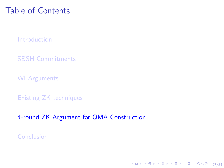## <span id="page-54-0"></span>Table of Contents

[Introduction](#page-1-0)

[SBSH Commitments](#page-12-0)

[WI Arguments](#page-20-0)

[Existing ZK techniques](#page-37-0)

[4-round ZK Argument for QMA Construction](#page-54-0)

27/34

[Conclusion](#page-72-0)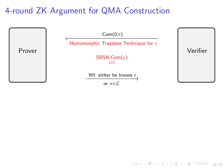

4 ロ → 4 @ ▶ 4 로 → 4 로 → 2 로 → 9 Q Q + 28/34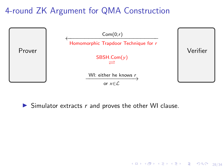

4 ロ → 4 @ ▶ 4 로 → 4 로 → 2 로 → 9 Q Q + 28/34

 $\triangleright$  Simulator extracts r and proves the other WI clause.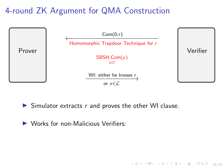

4 ロ ▶ 4 @ ▶ 4 할 ▶ 4 할 ▶ → 할 → 9 이익(\* - 28/34)

 $\blacktriangleright$  Simulator extracts r and proves the other WI clause.

 $\triangleright$  Works for non-Malicious Verifiers: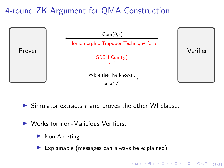

 $\triangleright$  Simulator extracts r and proves the other WI clause.

- $\triangleright$  Works for non-Malicious Verifiers:
	- $\blacktriangleright$  Non-Aborting.
	- Explainable (messages can always be explained).

4 ロ ▶ 4 @ ▶ 4 로 ▶ 4 로 ▶ - 로 - 90 Q + 28/34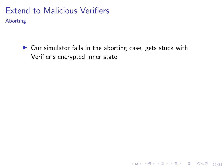Aborting

 $\triangleright$  Our simulator fails in the aborting case, gets stuck with Verifier's encrypted inner state.

4 미 ▶ 4 @ ▶ 4 로 ▶ 4 로 ▶ - 로 - ⊙ Q Q + 29/34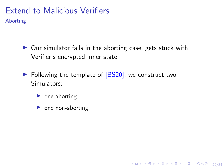Aborting

 $\triangleright$  Our simulator fails in the aborting case, gets stuck with Verifier's encrypted inner state.

4 ロ ▶ 4 @ ▶ 4 할 ▶ 4 할 ▶ → 할 → 90 Q + 29/34

- $\blacktriangleright$  Following the template of [BS20], we construct two Simulators:
	- $\triangleright$  one aborting
	- $\triangleright$  one non-aborting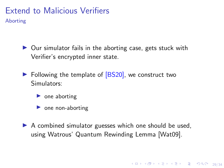Aborting

- $\triangleright$  Our simulator fails in the aborting case, gets stuck with Verifier's encrypted inner state.
- $\triangleright$  Following the template of  $[BS20]$ , we construct two Simulators:
	- $\triangleright$  one aborting
	- $\triangleright$  one non-aborting
- $\triangleright$  A combined simulator guesses which one should be used, using Watrous' Quantum Rewinding Lemma [Wat09].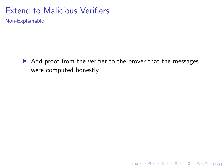Non-Explainable

 $\triangleright$  Add proof from the verifier to the prover that the messages were computed honestly.

4 ロ → 4 @ ▶ 4 로 → 4 로 → - 로 - 9 9 Q → 30/34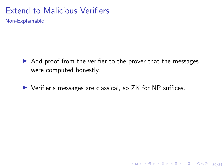Non-Explainable

 $\triangleright$  Add proof from the verifier to the prover that the messages were computed honestly.

4 ロ ▶ 4 @ ▶ 4 로 ▶ 4 로 ▶ - 로 - ① 9.0 30/34

 $\triangleright$  Verifier's messages are classical, so ZK for NP suffices.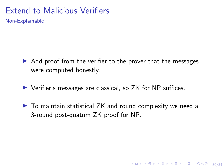Non-Explainable

- $\triangleright$  Add proof from the verifier to the prover that the messages were computed honestly.
- $\triangleright$  Verifier's messages are classical, so ZK for NP suffices.
- $\triangleright$  To maintain statistical ZK and round complexity we need a 3-round post-quatum ZK proof for NP.

4 ロ ▶ 4 @ ▶ 4 할 ▶ 4 할 ▶ → 할 → 9 익 Q → 30/34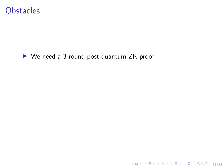#### **Obstacles**

 $\blacktriangleright$  We need a 3-round post-quantum ZK proof.

4 미 X 4 레 X 4 리 X 4 로 X - 호 - 9 이 이어 - 31/34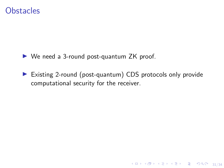#### **Obstacles**

 $\triangleright$  We need a 3-round post-quantum ZK proof.

▶ Existing 2-round (post-quantum) CDS protocols only provide computational security for the receiver.

4 ロ ▶ 4 @ ▶ 4 호 ▶ 4 호 ▶ → 호 → 9 여여 → 31/34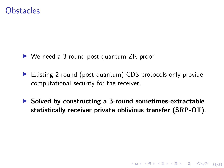#### **Obstacles**

 $\triangleright$  We need a 3-round post-quantum ZK proof.

- ▶ Existing 2-round (post-quantum) CDS protocols only provide computational security for the receiver.
- $\triangleright$  Solved by constructing a 3-round sometimes-extractable statistically receiver private oblivious transfer (SRP-OT).

31/34<br>31/34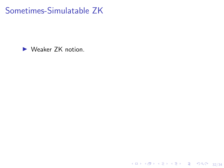$\blacktriangleright$  Weaker ZK notion.

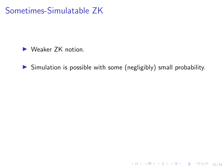$\blacktriangleright$  Weaker ZK notion.

 $\triangleright$  Simulation is possible with some (negligibly) small probability.

<br>32/34 32/34 → 32/34 → 32/34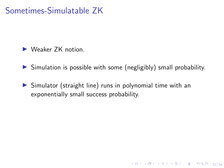$\blacktriangleright$  Weaker 7K notion.

 $\triangleright$  Simulation is possible with some (negligibly) small probability.

4 ロ → 4 @ ▶ 4 ミ → 4 ミ → - ミ → 9 Q Q + 32/34

 $\triangleright$  Simulator (straight line) runs in polynomial time with an exponentially small success probability.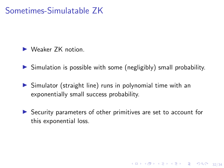$\blacktriangleright$  Weaker 7K notion.

- $\triangleright$  Simulation is possible with some (negligibly) small probability.
- $\triangleright$  Simulator (straight line) runs in polynomial time with an exponentially small success probability.
- $\triangleright$  Security parameters of other primitives are set to account for this exponential loss.

4 ロ ▶ 4 @ ▶ 4 할 ▶ 4 할 ▶ → 할 → 9 익 Q + 32/34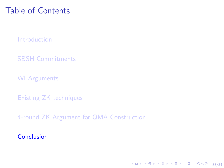# <span id="page-72-0"></span>Table of Contents

[Introduction](#page-1-0)

[SBSH Commitments](#page-12-0)

[WI Arguments](#page-20-0)

[Existing ZK techniques](#page-37-0)

[4-round ZK Argument for QMA Construction](#page-54-0)

[Conclusion](#page-72-0)

4 ロ ▶ 4 @ ▶ 4 호 ▶ 4 호 ▶ → 호 → 9 여여 → 33/34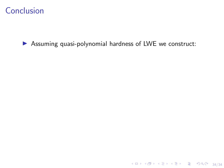$\triangleright$  Assuming quasi-polynomial hardness of LWE we construct:

4 미 4 - 미 4 - 미 4 - 미 4 - 미 4 - 미 4 - 미 4 - 미 4 - 미 4 - 미 34/34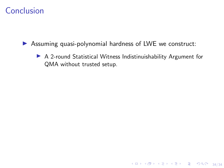$\triangleright$  Assuming quasi-polynomial hardness of LWE we construct:

A 2-round Statistical Witness Indistinuishability Argument for QMA without trusted setup.

4 ロ ▶ 4 @ ▶ 4 로 ▶ 4 로 ▶ - 로 - 9 9 0 2 34/34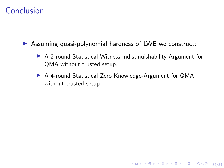$\triangleright$  Assuming quasi-polynomial hardness of LWE we construct:

 $\triangleright$  A 2-round Statistical Witness Indistinuishability Argument for QMA without trusted setup.

4 ロ → 4 @ → 4 할 → 4 할 → 1 할 → 9 Q <del>(</del> 34/34)

▶ A 4-round Statistical Zero Knowledge-Argument for QMA without trusted setup.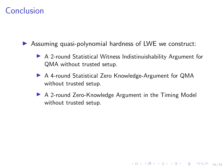$\triangleright$  Assuming quasi-polynomial hardness of LWE we construct:

- $\triangleright$  A 2-round Statistical Witness Indistinuishability Argument for QMA without trusted setup.
- ▶ A 4-round Statistical Zero Knowledge-Argument for QMA without trusted setup.
- ▶ A 2-round Zero-Knowledge Argument in the Timing Model without trusted setup.

4 ロ ▶ 4 @ ▶ 4 로 ▶ 4 로 ▶ - 로 - 90 Q - 34/34